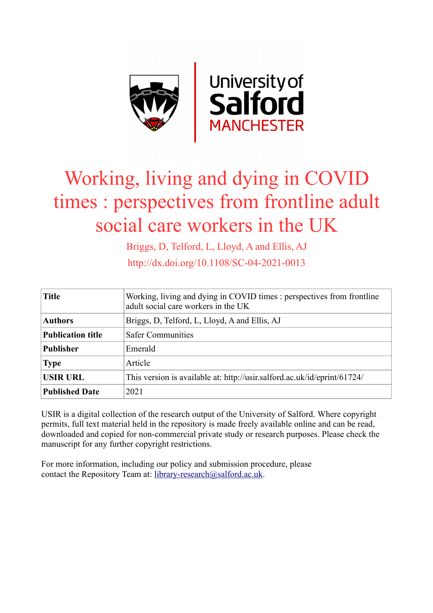

# Working, living and dying in COVID times : perspectives from frontline adult social care workers in the UK

Briggs, D, Telford, L, Lloyd, A and Ellis, AJ http://dx.doi.org/10.1108/SC-04-2021-0013

| <b>Title</b>             | Working, living and dying in COVID times : perspectives from frontline<br>adult social care workers in the UK |
|--------------------------|---------------------------------------------------------------------------------------------------------------|
| <b>Authors</b>           | Briggs, D, Telford, L, Lloyd, A and Ellis, AJ                                                                 |
| <b>Publication title</b> | <b>Safer Communities</b>                                                                                      |
| <b>Publisher</b>         | Emerald                                                                                                       |
| <b>Type</b>              | Article                                                                                                       |
| <b>USIR URL</b>          | This version is available at: http://usir.salford.ac.uk/id/eprint/61724/                                      |
| <b>Published Date</b>    | 2021                                                                                                          |

USIR is a digital collection of the research output of the University of Salford. Where copyright permits, full text material held in the repository is made freely available online and can be read, downloaded and copied for non-commercial private study or research purposes. Please check the manuscript for any further copyright restrictions.

For more information, including our policy and submission procedure, please contact the Repository Team at: [library-research@salford.ac.uk.](mailto:library-research@salford.ac.uk)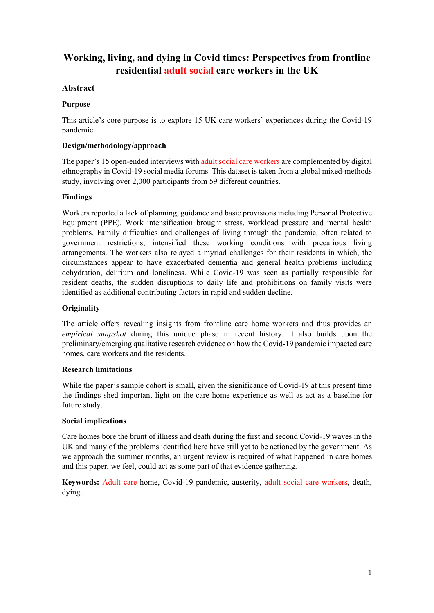## **Working, living, and dying in Covid times: Perspectives from frontline residential adult social care workers in the UK**

## **Abstract**

## **Purpose**

This article's core purpose is to explore 15 UK care workers' experiences during the Covid-19 pandemic.

## **Design/methodology/approach**

The paper's 15 open-ended interviews with adult social care workers are complemented by digital ethnography in Covid-19 social media forums. This dataset is taken from a global mixed-methods study, involving over 2,000 participants from 59 different countries.

## **Findings**

Workers reported a lack of planning, guidance and basic provisions including Personal Protective Equipment (PPE). Work intensification brought stress, workload pressure and mental health problems. Family difficulties and challenges of living through the pandemic, often related to government restrictions, intensified these working conditions with precarious living arrangements. The workers also relayed a myriad challenges for their residents in which, the circumstances appear to have exacerbated dementia and general health problems including dehydration, delirium and loneliness. While Covid-19 was seen as partially responsible for resident deaths, the sudden disruptions to daily life and prohibitions on family visits were identified as additional contributing factors in rapid and sudden decline.

## **Originality**

The article offers revealing insights from frontline care home workers and thus provides an *empirical snapshot* during this unique phase in recent history. It also builds upon the preliminary/emerging qualitative research evidence on how the Covid-19 pandemic impacted care homes, care workers and the residents.

## **Research limitations**

While the paper's sample cohort is small, given the significance of Covid-19 at this present time the findings shed important light on the care home experience as well as act as a baseline for future study.

## **Social implications**

Care homes bore the brunt of illness and death during the first and second Covid-19 waves in the UK and many of the problems identified here have still yet to be actioned by the government. As we approach the summer months, an urgent review is required of what happened in care homes and this paper, we feel, could act as some part of that evidence gathering.

**Keywords:** Adult care home, Covid-19 pandemic, austerity, adult social care workers, death, dying.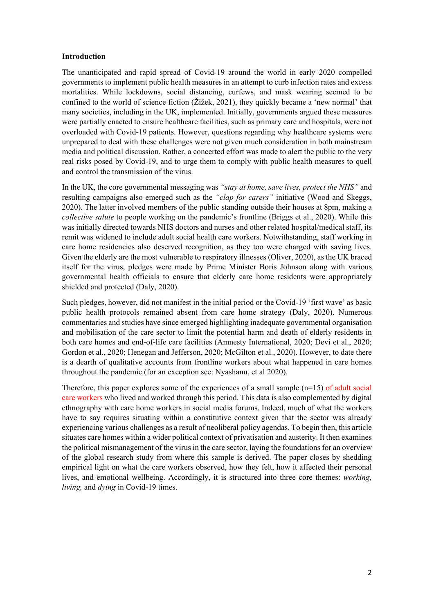#### **Introduction**

The unanticipated and rapid spread of Covid-19 around the world in early 2020 compelled governments to implement public health measures in an attempt to curb infection rates and excess mortalities. While lockdowns, social distancing, curfews, and mask wearing seemed to be confined to the world of science fiction (Žižek, 2021), they quickly became a 'new normal' that many societies, including in the UK, implemented. Initially, governments argued these measures were partially enacted to ensure healthcare facilities, such as primary care and hospitals, were not overloaded with Covid-19 patients. However, questions regarding why healthcare systems were unprepared to deal with these challenges were not given much consideration in both mainstream media and political discussion. Rather, a concerted effort was made to alert the public to the very real risks posed by Covid-19, and to urge them to comply with public health measures to quell and control the transmission of the virus.

In the UK, the core governmental messaging was *"stay at home, save lives, protect the NHS"* and resulting campaigns also emerged such as the *"clap for carers"* initiative (Wood and Skeggs, 2020). The latter involved members of the public standing outside their houses at 8pm, making a *collective salute* to people working on the pandemic's frontline (Briggs et al., 2020). While this was initially directed towards NHS doctors and nurses and other related hospital/medical staff, its remit was widened to include adult social health care workers. Notwithstanding, staff working in care home residencies also deserved recognition, as they too were charged with saving lives. Given the elderly are the most vulnerable to respiratory illnesses (Oliver, 2020), as the UK braced itself for the virus, pledges were made by Prime Minister Boris Johnson along with various governmental health officials to ensure that elderly care home residents were appropriately shielded and protected (Daly, 2020).

Such pledges, however, did not manifest in the initial period or the Covid-19 'first wave' as basic public health protocols remained absent from care home strategy (Daly, 2020). Numerous commentaries and studies have since emerged highlighting inadequate governmental organisation and mobilisation of the care sector to limit the potential harm and death of elderly residents in both care homes and end-of-life care facilities (Amnesty International, 2020; Devi et al., 2020; Gordon et al., 2020; Henegan and Jefferson, 2020; McGilton et al., 2020). However, to date there is a dearth of qualitative accounts from frontline workers about what happened in care homes throughout the pandemic (for an exception see: Nyashanu, et al 2020).

Therefore, this paper explores some of the experiences of a small sample  $(n=15)$  of adult social care workers who lived and worked through this period. This data is also complemented by digital ethnography with care home workers in social media forums. Indeed, much of what the workers have to say requires situating within a constitutive context given that the sector was already experiencing various challenges as a result of neoliberal policy agendas. To begin then, this article situates care homes within a wider political context of privatisation and austerity. It then examines the political mismanagement of the virus in the care sector, laying the foundations for an overview of the global research study from where this sample is derived. The paper closes by shedding empirical light on what the care workers observed, how they felt, how it affected their personal lives, and emotional wellbeing. Accordingly, it is structured into three core themes: *working, living,* and *dying* in Covid-19 times.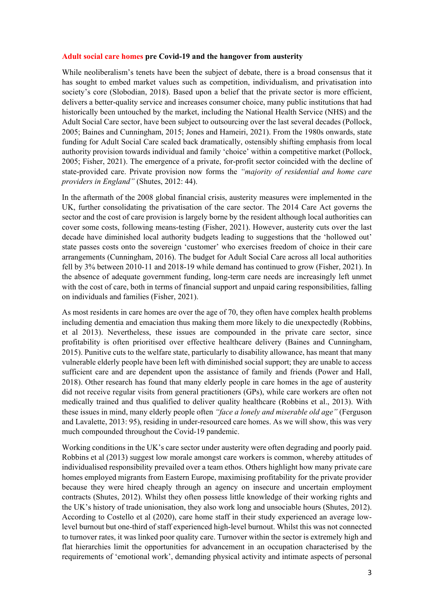#### **Adult social care homes pre Covid-19 and the hangover from austerity**

While neoliberalism's tenets have been the subject of debate, there is a broad consensus that it has sought to embed market values such as competition, individualism, and privatisation into society's core (Slobodian, 2018). Based upon a belief that the private sector is more efficient, delivers a better-quality service and increases consumer choice, many public institutions that had historically been untouched by the market, including the National Health Service (NHS) and the Adult Social Care sector, have been subject to outsourcing over the last several decades (Pollock, 2005; Baines and Cunningham, 2015; Jones and Hameiri, 2021). From the 1980s onwards, state funding for Adult Social Care scaled back dramatically, ostensibly shifting emphasis from local authority provision towards individual and family 'choice' within a competitive market (Pollock, 2005; Fisher, 2021). The emergence of a private, for-profit sector coincided with the decline of state-provided care. Private provision now forms the *"majority of residential and home care providers in England"* (Shutes, 2012: 44).

In the aftermath of the 2008 global financial crisis, austerity measures were implemented in the UK, further consolidating the privatisation of the care sector. The 2014 Care Act governs the sector and the cost of care provision is largely borne by the resident although local authorities can cover some costs, following means-testing (Fisher, 2021). However, austerity cuts over the last decade have diminished local authority budgets leading to suggestions that the 'hollowed out' state passes costs onto the sovereign 'customer' who exercises freedom of choice in their care arrangements (Cunningham, 2016). The budget for Adult Social Care across all local authorities fell by 3% between 2010-11 and 2018-19 while demand has continued to grow (Fisher, 2021). In the absence of adequate government funding, long-term care needs are increasingly left unmet with the cost of care, both in terms of financial support and unpaid caring responsibilities, falling on individuals and families (Fisher, 2021).

As most residents in care homes are over the age of 70, they often have complex health problems including dementia and emaciation thus making them more likely to die unexpectedly (Robbins, et al 2013). Nevertheless, these issues are compounded in the private care sector, since profitability is often prioritised over effective healthcare delivery (Baines and Cunningham, 2015). Punitive cuts to the welfare state, particularly to disability allowance, has meant that many vulnerable elderly people have been left with diminished social support; they are unable to access sufficient care and are dependent upon the assistance of family and friends (Power and Hall, 2018). Other research has found that many elderly people in care homes in the age of austerity did not receive regular visits from general practitioners (GPs), while care workers are often not medically trained and thus qualified to deliver quality healthcare (Robbins et al., 2013). With these issues in mind, many elderly people often *"face a lonely and miserable old age"* (Ferguson and Lavalette, 2013: 95), residing in under-resourced care homes. As we will show, this was very much compounded throughout the Covid-19 pandemic.

Working conditions in the UK's care sector under austerity were often degrading and poorly paid. Robbins et al (2013) suggest low morale amongst care workers is common, whereby attitudes of individualised responsibility prevailed over a team ethos. Others highlight how many private care homes employed migrants from Eastern Europe, maximising profitability for the private provider because they were hired cheaply through an agency on insecure and uncertain employment contracts (Shutes, 2012). Whilst they often possess little knowledge of their working rights and the UK's history of trade unionisation, they also work long and unsociable hours (Shutes, 2012). According to Costello et al (2020), care home staff in their study experienced an average lowlevel burnout but one-third of staff experienced high-level burnout. Whilst this was not connected to turnover rates, it was linked poor quality care. Turnover within the sector is extremely high and flat hierarchies limit the opportunities for advancement in an occupation characterised by the requirements of 'emotional work', demanding physical activity and intimate aspects of personal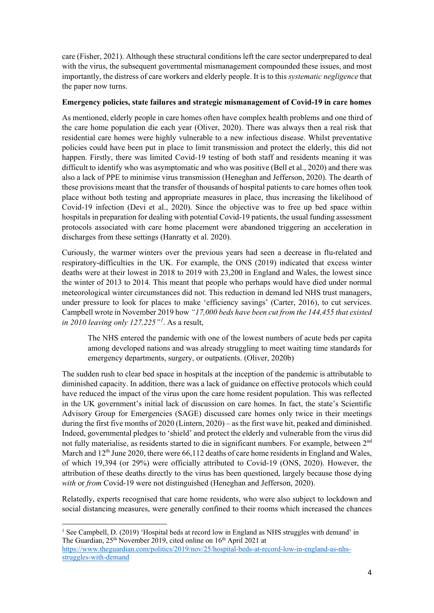care (Fisher, 2021). Although these structural conditions left the care sector underprepared to deal with the virus, the subsequent governmental mismanagement compounded these issues, and most importantly, the distress of care workers and elderly people. It is to this *systematic negligence* that the paper now turns.

## **Emergency policies, state failures and strategic mismanagement of Covid-19 in care homes**

As mentioned, elderly people in care homes often have complex health problems and one third of the care home population die each year (Oliver, 2020). There was always then a real risk that residential care homes were highly vulnerable to a new infectious disease. Whilst preventative policies could have been put in place to limit transmission and protect the elderly, this did not happen. Firstly, there was limited Covid-19 testing of both staff and residents meaning it was difficult to identify who was asymptomatic and who was positive (Bell et al., 2020) and there was also a lack of PPE to minimise virus transmission (Heneghan and Jefferson, 2020). The dearth of these provisions meant that the transfer of thousands of hospital patients to care homes often took place without both testing and appropriate measures in place, thus increasing the likelihood of Covid-19 infection (Devi et al., 2020). Since the objective was to free up bed space within hospitals in preparation for dealing with potential Covid-19 patients, the usual funding assessment protocols associated with care home placement were abandoned triggering an acceleration in discharges from these settings (Hanratty et al. 2020).

Curiously, the warmer winters over the previous years had seen a decrease in flu-related and respiratory-difficulties in the UK. For example, the ONS (2019) indicated that excess winter deaths were at their lowest in 2018 to 2019 with 23,200 in England and Wales, the lowest since the winter of 2013 to 2014. This meant that people who perhaps would have died under normal meteorological winter circumstances did not. This reduction in demand led NHS trust managers, under pressure to look for places to make 'efficiency savings' (Carter, 2016), to cut services. Campbell wrote in November 2019 how *"17,000 beds have been cut from the 144,455 that existed in 2010 leaving only 127,225"[1](#page-4-0)* . As a result,

The NHS entered the pandemic with one of the lowest numbers of acute beds per capita among developed nations and was already struggling to meet waiting time standards for emergency departments, surgery, or outpatients. (Oliver, 2020b)

The sudden rush to clear bed space in hospitals at the inception of the pandemic is attributable to diminished capacity. In addition, there was a lack of guidance on effective protocols which could have reduced the impact of the virus upon the care home resident population. This was reflected in the UK government's initial lack of discussion on care homes. In fact, the state's Scientific Advisory Group for Emergencies (SAGE) discussed care homes only twice in their meetings during the first five months of 2020 (Lintern, 2020) – as the first wave hit, peaked and diminished. Indeed, governmental pledges to 'shield' and protect the elderly and vulnerable from the virus did not fully materialise, as residents started to die in significant numbers. For example, between  $2<sup>nd</sup>$ March and  $12<sup>th</sup>$  June 2020, there were 66,112 deaths of care home residents in England and Wales, of which 19,394 (or 29%) were officially attributed to Covid-19 (ONS, 2020). However, the attribution of these deaths directly to the virus has been questioned, largely because those dying *with* or *from* Covid-19 were not distinguished (Heneghan and Jefferson, 2020).

Relatedly, experts recognised that care home residents, who were also subject to lockdown and social distancing measures, were generally confined to their rooms which increased the chances

<span id="page-4-0"></span><sup>&</sup>lt;sup>1</sup> See Campbell, D. (2019) 'Hospital beds at record low in England as NHS struggles with demand' in The Guardian, 25<sup>th</sup> November 2019, cited online on 16<sup>th</sup> April 2021 at

[https://www.theguardian.com/politics/2019/nov/25/hospital-beds-at-record-low-in-england-as-nhs](https://www.theguardian.com/politics/2019/nov/25/hospital-beds-at-record-low-in-england-as-nhs-struggles-with-demand)[struggles-with-demand](https://www.theguardian.com/politics/2019/nov/25/hospital-beds-at-record-low-in-england-as-nhs-struggles-with-demand)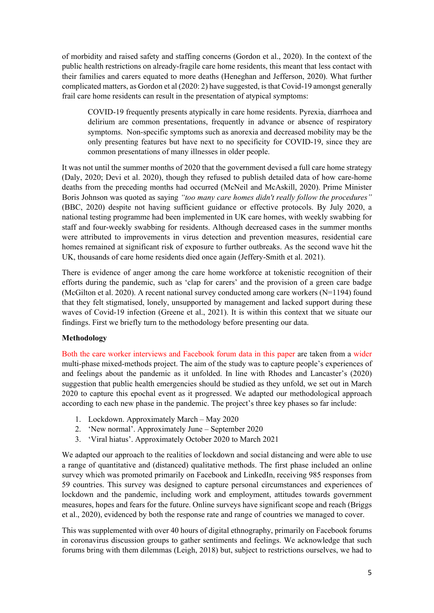of morbidity and raised safety and staffing concerns (Gordon et al., 2020). In the context of the public health restrictions on already-fragile care home residents, this meant that less contact with their families and carers equated to more deaths (Heneghan and Jefferson, 2020). What further complicated matters, as Gordon et al (2020: 2) have suggested, is that Covid-19 amongst generally frail care home residents can result in the presentation of atypical symptoms:

COVID-19 frequently presents atypically in care home residents. Pyrexia, diarrhoea and delirium are common presentations, frequently in advance or absence of respiratory symptoms. Non-specific symptoms such as anorexia and decreased mobility may be the only presenting features but have next to no specificity for COVID-19, since they are common presentations of many illnesses in older people.

It was not until the summer months of 2020 that the government devised a full care home strategy (Daly, 2020; Devi et al. 2020), though they refused to publish detailed data of how care-home deaths from the preceding months had occurred (McNeil and McAskill, 2020). Prime Minister Boris Johnson was quoted as saying *"too many care homes didn't really follow the procedures"* (BBC, 2020) despite not having sufficient guidance or effective protocols. By July 2020, a national testing programme had been implemented in UK care homes, with weekly swabbing for staff and four-weekly swabbing for residents. Although decreased cases in the summer months were attributed to improvements in virus detection and prevention measures, residential care homes remained at significant risk of exposure to further outbreaks. As the second wave hit the UK, thousands of care home residents died once again (Jeffery-Smith et al. 2021).

There is evidence of anger among the care home workforce at tokenistic recognition of their efforts during the pandemic, such as 'clap for carers' and the provision of a green care badge (McGilton et al. 2020). A recent national survey conducted among care workers (N=1194) found that they felt stigmatised, lonely, unsupported by management and lacked support during these waves of Covid-19 infection (Greene et al., 2021). It is within this context that we situate our findings. First we briefly turn to the methodology before presenting our data.

## **Methodology**

Both the care worker interviews and Facebook forum data in this paper are taken from a wider multi-phase mixed-methods project. The aim of the study was to capture people's experiences of and feelings about the pandemic as it unfolded. In line with Rhodes and Lancaster's (2020) suggestion that public health emergencies should be studied as they unfold, we set out in March 2020 to capture this epochal event as it progressed. We adapted our methodological approach according to each new phase in the pandemic. The project's three key phases so far include:

- 1. Lockdown. Approximately March May 2020
- 2. 'New normal'. Approximately June September 2020
- 3. 'Viral hiatus'. Approximately October 2020 to March 2021

We adapted our approach to the realities of lockdown and social distancing and were able to use a range of quantitative and (distanced) qualitative methods. The first phase included an online survey which was promoted primarily on Facebook and LinkedIn, receiving 985 responses from 59 countries. This survey was designed to capture personal circumstances and experiences of lockdown and the pandemic, including work and employment, attitudes towards government measures, hopes and fears for the future. Online surveys have significant scope and reach (Briggs et al., 2020), evidenced by both the response rate and range of countries we managed to cover.

This was supplemented with over 40 hours of digital ethnography, primarily on Facebook forums in coronavirus discussion groups to gather sentiments and feelings. We acknowledge that such forums bring with them dilemmas (Leigh, 2018) but, subject to restrictions ourselves, we had to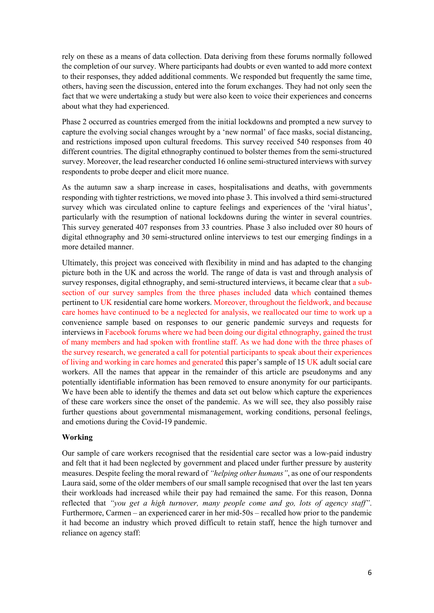rely on these as a means of data collection. Data deriving from these forums normally followed the completion of our survey. Where participants had doubts or even wanted to add more context to their responses, they added additional comments. We responded but frequently the same time, others, having seen the discussion, entered into the forum exchanges. They had not only seen the fact that we were undertaking a study but were also keen to voice their experiences and concerns about what they had experienced.

Phase 2 occurred as countries emerged from the initial lockdowns and prompted a new survey to capture the evolving social changes wrought by a 'new normal' of face masks, social distancing, and restrictions imposed upon cultural freedoms. This survey received 540 responses from 40 different countries. The digital ethnography continued to bolster themes from the semi-structured survey. Moreover, the lead researcher conducted 16 online semi-structured interviews with survey respondents to probe deeper and elicit more nuance.

As the autumn saw a sharp increase in cases, hospitalisations and deaths, with governments responding with tighter restrictions, we moved into phase 3. This involved a third semi-structured survey which was circulated online to capture feelings and experiences of the 'viral hiatus', particularly with the resumption of national lockdowns during the winter in several countries. This survey generated 407 responses from 33 countries. Phase 3 also included over 80 hours of digital ethnography and 30 semi-structured online interviews to test our emerging findings in a more detailed manner.

Ultimately, this project was conceived with flexibility in mind and has adapted to the changing picture both in the UK and across the world. The range of data is vast and through analysis of survey responses, digital ethnography, and semi-structured interviews, it became clear that a subsection of our survey samples from the three phases included data which contained themes pertinent to UK residential care home workers. Moreover, throughout the fieldwork, and because care homes have continued to be a neglected for analysis, we reallocated our time to work up a convenience sample based on responses to our generic pandemic surveys and requests for interviews in Facebook forums where we had been doing our digital ethnography, gained the trust of many members and had spoken with frontline staff. As we had done with the three phases of the survey research, we generated a call for potential participants to speak about their experiences of living and working in care homes and generated this paper's sample of 15 UK adult social care workers. All the names that appear in the remainder of this article are pseudonyms and any potentially identifiable information has been removed to ensure anonymity for our participants. We have been able to identify the themes and data set out below which capture the experiences of these care workers since the onset of the pandemic. As we will see, they also possibly raise further questions about governmental mismanagement, working conditions, personal feelings, and emotions during the Covid-19 pandemic.

## **Working**

Our sample of care workers recognised that the residential care sector was a low-paid industry and felt that it had been neglected by government and placed under further pressure by austerity measures. Despite feeling the moral reward of *"helping other humans"*, as one of our respondents Laura said, some of the older members of our small sample recognised that over the last ten years their workloads had increased while their pay had remained the same. For this reason, Donna reflected that *"you get a high turnover, many people come and go, lots of agency staff"*. Furthermore, Carmen – an experienced carer in her mid-50s – recalled how prior to the pandemic it had become an industry which proved difficult to retain staff, hence the high turnover and reliance on agency staff: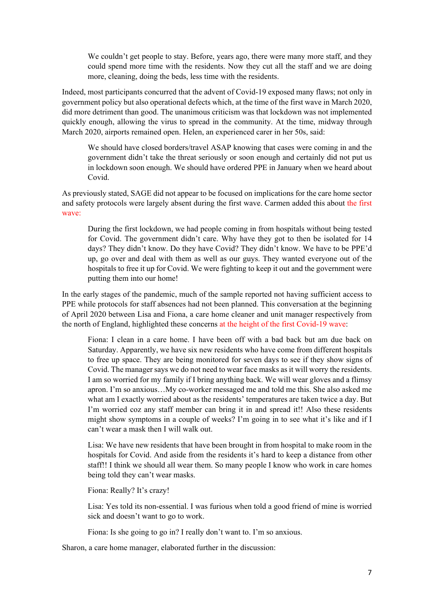We couldn't get people to stay. Before, years ago, there were many more staff, and they could spend more time with the residents. Now they cut all the staff and we are doing more, cleaning, doing the beds, less time with the residents.

Indeed, most participants concurred that the advent of Covid-19 exposed many flaws; not only in government policy but also operational defects which, at the time of the first wave in March 2020, did more detriment than good. The unanimous criticism was that lockdown was not implemented quickly enough, allowing the virus to spread in the community. At the time, midway through March 2020, airports remained open. Helen, an experienced carer in her 50s, said:

We should have closed borders/travel ASAP knowing that cases were coming in and the government didn't take the threat seriously or soon enough and certainly did not put us in lockdown soon enough. We should have ordered PPE in January when we heard about Covid.

As previously stated, SAGE did not appear to be focused on implications for the care home sector and safety protocols were largely absent during the first wave. Carmen added this about the first wave:

During the first lockdown, we had people coming in from hospitals without being tested for Covid. The government didn't care. Why have they got to then be isolated for 14 days? They didn't know. Do they have Covid? They didn't know. We have to be PPE'd up, go over and deal with them as well as our guys. They wanted everyone out of the hospitals to free it up for Covid. We were fighting to keep it out and the government were putting them into our home!

In the early stages of the pandemic, much of the sample reported not having sufficient access to PPE while protocols for staff absences had not been planned. This conversation at the beginning of April 2020 between Lisa and Fiona, a care home cleaner and unit manager respectively from the north of England, highlighted these concerns at the height of the first Covid-19 wave:

Fiona: I clean in a care home. I have been off with a bad back but am due back on Saturday. Apparently, we have six new residents who have come from different hospitals to free up space. They are being monitored for seven days to see if they show signs of Covid. The manager says we do not need to wear face masks as it will worry the residents. I am so worried for my family if I bring anything back. We will wear gloves and a flimsy apron. I'm so anxious…My co-worker messaged me and told me this. She also asked me what am I exactly worried about as the residents' temperatures are taken twice a day. But I'm worried coz any staff member can bring it in and spread it!! Also these residents might show symptoms in a couple of weeks? I'm going in to see what it's like and if I can't wear a mask then I will walk out.

Lisa: We have new residents that have been brought in from hospital to make room in the hospitals for Covid. And aside from the residents it's hard to keep a distance from other staff!! I think we should all wear them. So many people I know who work in care homes being told they can't wear masks.

Fiona: Really? It's crazy!

Lisa: Yes told its non-essential. I was furious when told a good friend of mine is worried sick and doesn't want to go to work.

Fiona: Is she going to go in? I really don't want to. I'm so anxious.

Sharon, a care home manager, elaborated further in the discussion: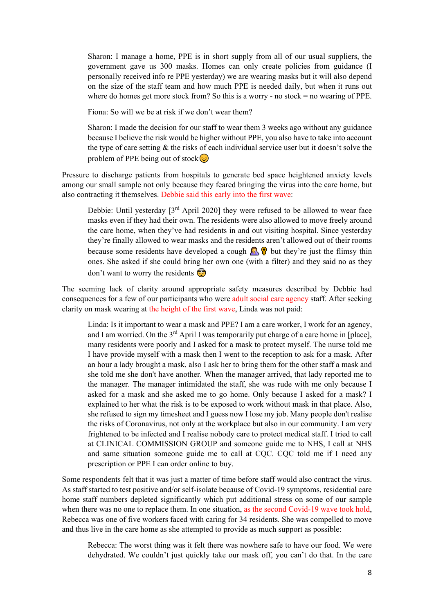Sharon: I manage a home, PPE is in short supply from all of our usual suppliers, the government gave us 300 masks. Homes can only create policies from guidance (I personally received info re PPE yesterday) we are wearing masks but it will also depend on the size of the staff team and how much PPE is needed daily, but when it runs out where do homes get more stock from? So this is a worry - no stock  $=$  no wearing of PPE.

Fiona: So will we be at risk if we don't wear them?

Sharon: I made the decision for our staff to wear them 3 weeks ago without any guidance because I believe the risk would be higher without PPE, you also have to take into account the type of care setting & the risks of each individual service user but it doesn't solve the problem of PPE being out of stock $\circled{ }$ 

Pressure to discharge patients from hospitals to generate bed space heightened anxiety levels among our small sample not only because they feared bringing the virus into the care home, but also contracting it themselves. Debbie said this early into the first wave:

Debbie: Until yesterday  $[3<sup>rd</sup>$  April 2020] they were refused to be allowed to wear face masks even if they had their own. The residents were also allowed to move freely around the care home, when they've had residents in and out visiting hospital. Since yesterday they're finally allowed to wear masks and the residents aren't allowed out of their rooms because some residents have developed a cough  $\mathbb{R} \mathcal{P}$  but they're just the flimsy thin ones. She asked if she could bring her own one (with a filter) and they said no as they don't want to worry the residents  $\odot$ 

The seeming lack of clarity around appropriate safety measures described by Debbie had consequences for a few of our participants who were adult social care agency staff. After seeking clarity on mask wearing at the height of the first wave, Linda was not paid:

Linda: Is it important to wear a mask and PPE? I am a care worker, I work for an agency, and I am worried. On the  $3<sup>rd</sup>$  April I was temporarily put charge of a care home in [place], many residents were poorly and I asked for a mask to protect myself. The nurse told me I have provide myself with a mask then I went to the reception to ask for a mask. After an hour a lady brought a mask, also I ask her to bring them for the other staff a mask and she told me she don't have another. When the manager arrived, that lady reported me to the manager. The manager intimidated the staff, she was rude with me only because I asked for a mask and she asked me to go home. Only because I asked for a mask? I explained to her what the risk is to be exposed to work without mask in that place. Also, she refused to sign my timesheet and I guess now I lose my job. Many people don't realise the risks of Coronavirus, not only at the workplace but also in our community. I am very frightened to be infected and I realise nobody care to protect medical staff. I tried to call at CLINICAL COMMISSION GROUP and someone guide me to NHS, I call at NHS and same situation someone guide me to call at CQC. CQC told me if I need any prescription or PPE I can order online to buy.

Some respondents felt that it was just a matter of time before staff would also contract the virus. As staff started to test positive and/or self-isolate because of Covid-19 symptoms, residential care home staff numbers depleted significantly which put additional stress on some of our sample when there was no one to replace them. In one situation, as the second Covid-19 wave took hold, Rebecca was one of five workers faced with caring for 34 residents*.* She was compelled to move and thus live in the care home as she attempted to provide as much support as possible:

Rebecca: The worst thing was it felt there was nowhere safe to have our food. We were dehydrated. We couldn't just quickly take our mask off, you can't do that. In the care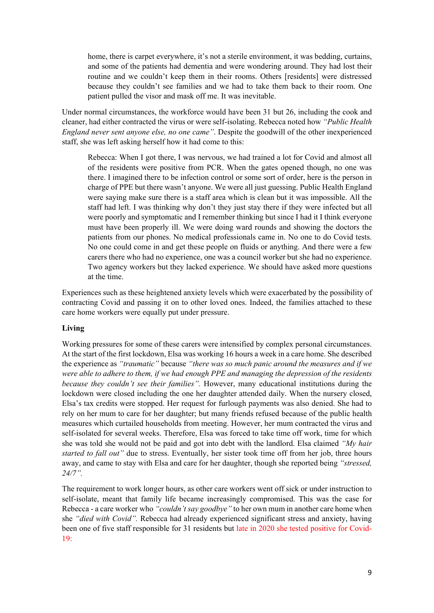home, there is carpet everywhere, it's not a sterile environment, it was bedding, curtains, and some of the patients had dementia and were wondering around. They had lost their routine and we couldn't keep them in their rooms. Others [residents] were distressed because they couldn't see families and we had to take them back to their room. One patient pulled the visor and mask off me. It was inevitable.

Under normal circumstances, the workforce would have been 31 but 26, including the cook and cleaner, had either contracted the virus or were self-isolating. Rebecca noted how *"Public Health England never sent anyone else, no one came"*. Despite the goodwill of the other inexperienced staff, she was left asking herself how it had come to this:

Rebecca: When I got there, I was nervous, we had trained a lot for Covid and almost all of the residents were positive from PCR. When the gates opened though, no one was there. I imagined there to be infection control or some sort of order, here is the person in charge of PPE but there wasn't anyone. We were all just guessing. Public Health England were saying make sure there is a staff area which is clean but it was impossible. All the staff had left. I was thinking why don't they just stay there if they were infected but all were poorly and symptomatic and I remember thinking but since I had it I think everyone must have been properly ill. We were doing ward rounds and showing the doctors the patients from our phones. No medical professionals came in. No one to do Covid tests. No one could come in and get these people on fluids or anything. And there were a few carers there who had no experience, one was a council worker but she had no experience. Two agency workers but they lacked experience. We should have asked more questions at the time.

Experiences such as these heightened anxiety levels which were exacerbated by the possibility of contracting Covid and passing it on to other loved ones. Indeed, the families attached to these care home workers were equally put under pressure.

## **Living**

Working pressures for some of these carers were intensified by complex personal circumstances. At the start of the first lockdown, Elsa was working 16 hours a week in a care home. She described the experience as *"traumatic"* because *"there was so much panic around the measures and if we were able to adhere to them, if we had enough PPE and managing the depression of the residents because they couldn't see their families".* However, many educational institutions during the lockdown were closed including the one her daughter attended daily. When the nursery closed, Elsa's tax credits were stopped. Her request for furlough payments was also denied. She had to rely on her mum to care for her daughter; but many friends refused because of the public health measures which curtailed households from meeting. However, her mum contracted the virus and self-isolated for several weeks. Therefore, Elsa was forced to take time off work, time for which she was told she would not be paid and got into debt with the landlord. Elsa claimed *"My hair started to fall out"* due to stress. Eventually, her sister took time off from her job, three hours away, and came to stay with Elsa and care for her daughter, though she reported being *"stressed, 24/7".*

The requirement to work longer hours, as other care workers went off sick or under instruction to self-isolate, meant that family life became increasingly compromised. This was the case for Rebecca - a care worker who *"couldn't say goodbye"* to her own mum in another care home when she *"died with Covid".* Rebecca had already experienced significant stress and anxiety, having been one of five staff responsible for 31 residents but late in 2020 she tested positive for Covid-19: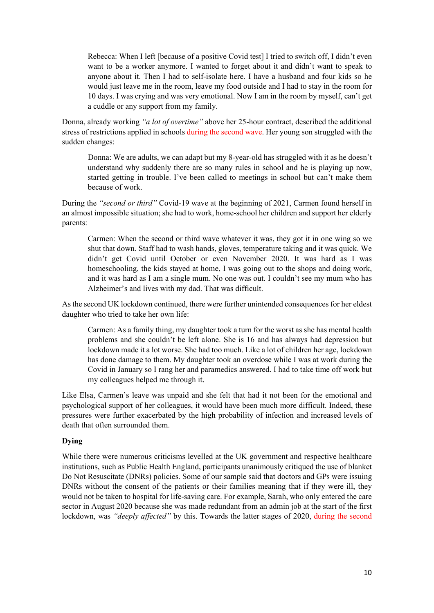Rebecca: When I left [because of a positive Covid test] I tried to switch off, I didn't even want to be a worker anymore. I wanted to forget about it and didn't want to speak to anyone about it. Then I had to self-isolate here. I have a husband and four kids so he would just leave me in the room, leave my food outside and I had to stay in the room for 10 days. I was crying and was very emotional. Now I am in the room by myself, can't get a cuddle or any support from my family.

Donna, already working *"a lot of overtime"* above her 25-hour contract, described the additional stress of restrictions applied in schools during the second wave. Her young son struggled with the sudden changes:

Donna: We are adults, we can adapt but my 8-year-old has struggled with it as he doesn't understand why suddenly there are so many rules in school and he is playing up now, started getting in trouble. I've been called to meetings in school but can't make them because of work.

During the *"second or third"* Covid-19 wave at the beginning of 2021, Carmen found herself in an almost impossible situation; she had to work, home-school her children and support her elderly parents:

Carmen: When the second or third wave whatever it was, they got it in one wing so we shut that down. Staff had to wash hands, gloves, temperature taking and it was quick. We didn't get Covid until October or even November 2020. It was hard as I was homeschooling, the kids stayed at home, I was going out to the shops and doing work, and it was hard as I am a single mum. No one was out. I couldn't see my mum who has Alzheimer's and lives with my dad. That was difficult.

As the second UK lockdown continued, there were further unintended consequences for her eldest daughter who tried to take her own life:

Carmen: As a family thing, my daughter took a turn for the worst as she has mental health problems and she couldn't be left alone. She is 16 and has always had depression but lockdown made it a lot worse. She had too much. Like a lot of children her age, lockdown has done damage to them. My daughter took an overdose while I was at work during the Covid in January so I rang her and paramedics answered. I had to take time off work but my colleagues helped me through it.

Like Elsa, Carmen's leave was unpaid and she felt that had it not been for the emotional and psychological support of her colleagues, it would have been much more difficult. Indeed, these pressures were further exacerbated by the high probability of infection and increased levels of death that often surrounded them.

## **Dying**

While there were numerous criticisms levelled at the UK government and respective healthcare institutions, such as Public Health England, participants unanimously critiqued the use of blanket Do Not Resuscitate (DNRs) policies. Some of our sample said that doctors and GPs were issuing DNRs without the consent of the patients or their families meaning that if they were ill, they would not be taken to hospital for life-saving care. For example, Sarah, who only entered the care sector in August 2020 because she was made redundant from an admin job at the start of the first lockdown, was *"deeply affected"* by this. Towards the latter stages of 2020, during the second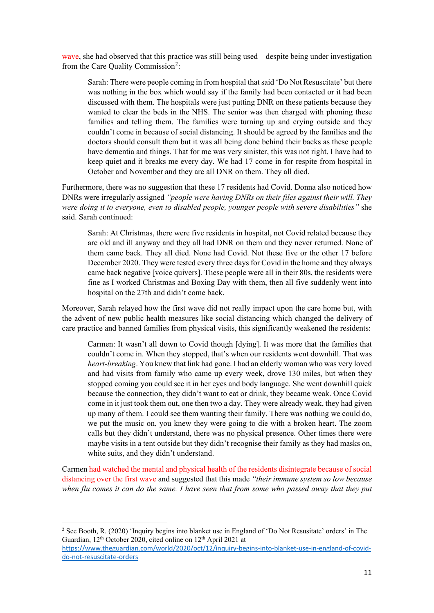wave, she had observed that this practice was still being used – despite being under investigation from the Care Quality Commission<sup>[2](#page-11-0)</sup>:

Sarah: There were people coming in from hospital that said 'Do Not Resuscitate' but there was nothing in the box which would say if the family had been contacted or it had been discussed with them. The hospitals were just putting DNR on these patients because they wanted to clear the beds in the NHS. The senior was then charged with phoning these families and telling them. The families were turning up and crying outside and they couldn't come in because of social distancing. It should be agreed by the families and the doctors should consult them but it was all being done behind their backs as these people have dementia and things. That for me was very sinister, this was not right. I have had to keep quiet and it breaks me every day. We had 17 come in for respite from hospital in October and November and they are all DNR on them. They all died.

Furthermore, there was no suggestion that these 17 residents had Covid. Donna also noticed how DNRs were irregularly assigned *"people were having DNRs on their files against their will. They were doing it to everyone, even to disabled people, younger people with severe disabilities"* she said. Sarah continued:

Sarah: At Christmas, there were five residents in hospital, not Covid related because they are old and ill anyway and they all had DNR on them and they never returned. None of them came back. They all died. None had Covid. Not these five or the other 17 before December 2020. They were tested every three days for Covid in the home and they always came back negative [voice quivers]. These people were all in their 80s, the residents were fine as I worked Christmas and Boxing Day with them, then all five suddenly went into hospital on the 27th and didn't come back.

Moreover, Sarah relayed how the first wave did not really impact upon the care home but, with the advent of new public health measures like social distancing which changed the delivery of care practice and banned families from physical visits, this significantly weakened the residents:

Carmen: It wasn't all down to Covid though [dying]. It was more that the families that couldn't come in. When they stopped, that's when our residents went downhill. That was *heart-breaking*. You knew that link had gone. I had an elderly woman who was very loved and had visits from family who came up every week, drove 130 miles, but when they stopped coming you could see it in her eyes and body language. She went downhill quick because the connection, they didn't want to eat or drink, they became weak. Once Covid come in it just took them out, one then two a day. They were already weak, they had given up many of them. I could see them wanting their family. There was nothing we could do, we put the music on, you knew they were going to die with a broken heart. The zoom calls but they didn't understand, there was no physical presence. Other times there were maybe visits in a tent outside but they didn't recognise their family as they had masks on, white suits, and they didn't understand.

Carmen had watched the mental and physical health of the residents disintegrate because of social distancing over the first wave and suggested that this made *"their immune system so low because*  when flu comes it can do the same. I have seen that from some who passed away that they put

<span id="page-11-0"></span><sup>2</sup> See Booth, R. (2020) 'Inquiry begins into blanket use in England of 'Do Not Resusitate' orders' in The Guardian, 12<sup>th</sup> October 2020, cited online on 12<sup>th</sup> April 2021 at

[https://www.theguardian.com/world/2020/oct/12/inquiry-begins-into-blanket-use-in-england-of-covid](https://www.theguardian.com/world/2020/oct/12/inquiry-begins-into-blanket-use-in-england-of-covid-do-not-resuscitate-orders)[do-not-resuscitate-orders](https://www.theguardian.com/world/2020/oct/12/inquiry-begins-into-blanket-use-in-england-of-covid-do-not-resuscitate-orders)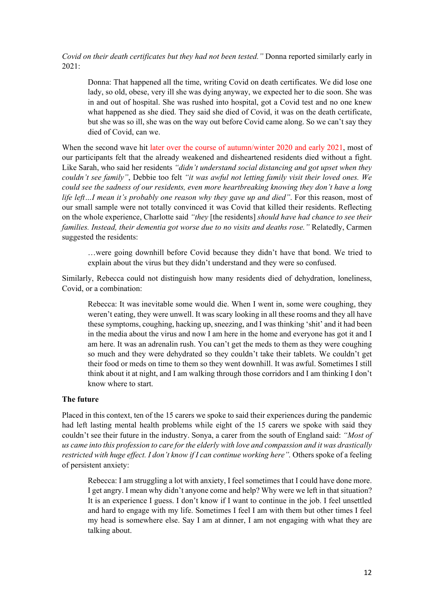*Covid on their death certificates but they had not been tested."* Donna reported similarly early in 2021:

Donna: That happened all the time, writing Covid on death certificates. We did lose one lady, so old, obese, very ill she was dying anyway, we expected her to die soon. She was in and out of hospital. She was rushed into hospital, got a Covid test and no one knew what happened as she died. They said she died of Covid, it was on the death certificate, but she was so ill, she was on the way out before Covid came along. So we can't say they died of Covid, can we.

When the second wave hit later over the course of autumn/winter 2020 and early 2021, most of our participants felt that the already weakened and disheartened residents died without a fight. Like Sarah, who said her residents *"didn't understand social distancing and got upset when they couldn't see family"*, Debbie too felt *"it was awful not letting family visit their loved ones. We could see the sadness of our residents, even more heartbreaking knowing they don't have a long life left…I mean it's probably one reason why they gave up and died"*. For this reason, most of our small sample were not totally convinced it was Covid that killed their residents. Reflecting on the whole experience, Charlotte said *"they* [the residents] *should have had chance to see their families. Instead, their dementia got worse due to no visits and deaths rose."* Relatedly, Carmen suggested the residents:

…were going downhill before Covid because they didn't have that bond. We tried to explain about the virus but they didn't understand and they were so confused.

Similarly, Rebecca could not distinguish how many residents died of dehydration, loneliness, Covid, or a combination:

Rebecca: It was inevitable some would die. When I went in, some were coughing, they weren't eating, they were unwell. It was scary looking in all these rooms and they all have these symptoms, coughing, hacking up, sneezing, and I was thinking 'shit' and it had been in the media about the virus and now I am here in the home and everyone has got it and I am here. It was an adrenalin rush. You can't get the meds to them as they were coughing so much and they were dehydrated so they couldn't take their tablets. We couldn't get their food or meds on time to them so they went downhill. It was awful. Sometimes I still think about it at night, and I am walking through those corridors and I am thinking I don't know where to start.

## **The future**

Placed in this context, ten of the 15 carers we spoke to said their experiences during the pandemic had left lasting mental health problems while eight of the 15 carers we spoke with said they couldn't see their future in the industry. Sonya, a carer from the south of England said: *"Most of us came into this profession to care for the elderly with love and compassion and it was drastically restricted with huge effect. I don't know if I can continue working here".* Others spoke of a feeling of persistent anxiety:

Rebecca: I am struggling a lot with anxiety, I feel sometimes that I could have done more. I get angry. I mean why didn't anyone come and help? Why were we left in that situation? It is an experience I guess. I don't know if I want to continue in the job. I feel unsettled and hard to engage with my life. Sometimes I feel I am with them but other times I feel my head is somewhere else. Say I am at dinner, I am not engaging with what they are talking about.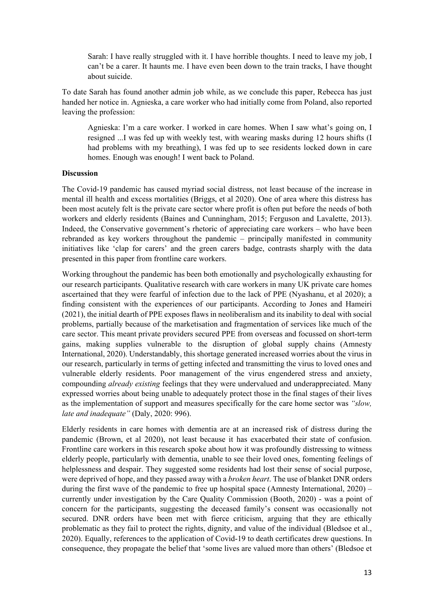Sarah: I have really struggled with it. I have horrible thoughts. I need to leave my job, I can't be a carer. It haunts me. I have even been down to the train tracks, I have thought about suicide.

To date Sarah has found another admin job while, as we conclude this paper, Rebecca has just handed her notice in. Agnieska, a care worker who had initially come from Poland, also reported leaving the profession:

Agnieska: I'm a care worker. I worked in care homes. When I saw what's going on, I resigned ...I was fed up with weekly test, with wearing masks during 12 hours shifts (I had problems with my breathing), I was fed up to see residents locked down in care homes. Enough was enough! I went back to Poland.

## **Discussion**

The Covid-19 pandemic has caused myriad social distress, not least because of the increase in mental ill health and excess mortalities (Briggs, et al 2020). One of area where this distress has been most acutely felt is the private care sector where profit is often put before the needs of both workers and elderly residents (Baines and Cunningham, 2015; Ferguson and Lavalette, 2013). Indeed, the Conservative government's rhetoric of appreciating care workers – who have been rebranded as key workers throughout the pandemic – principally manifested in community initiatives like 'clap for carers' and the green carers badge, contrasts sharply with the data presented in this paper from frontline care workers.

Working throughout the pandemic has been both emotionally and psychologically exhausting for our research participants. Qualitative research with care workers in many UK private care homes ascertained that they were fearful of infection due to the lack of PPE (Nyashanu, et al 2020); a finding consistent with the experiences of our participants. According to Jones and Hameiri (2021), the initial dearth of PPE exposes flaws in neoliberalism and its inability to deal with social problems, partially because of the marketisation and fragmentation of services like much of the care sector. This meant private providers secured PPE from overseas and focussed on short-term gains, making supplies vulnerable to the disruption of global supply chains (Amnesty International, 2020). Understandably, this shortage generated increased worries about the virus in our research, particularly in terms of getting infected and transmitting the virus to loved ones and vulnerable elderly residents. Poor management of the virus engendered stress and anxiety, compounding *already existing* feelings that they were undervalued and underappreciated. Many expressed worries about being unable to adequately protect those in the final stages of their lives as the implementation of support and measures specifically for the care home sector was *"slow, late and inadequate"* (Daly, 2020: 996).

Elderly residents in care homes with dementia are at an increased risk of distress during the pandemic (Brown, et al 2020), not least because it has exacerbated their state of confusion. Frontline care workers in this research spoke about how it was profoundly distressing to witness elderly people, particularly with dementia, unable to see their loved ones, fomenting feelings of helplessness and despair. They suggested some residents had lost their sense of social purpose, were deprived of hope, and they passed away with a *broken heart*. The use of blanket DNR orders during the first wave of the pandemic to free up hospital space (Amnesty International, 2020) – currently under investigation by the Care Quality Commission (Booth, 2020) - was a point of concern for the participants, suggesting the deceased family's consent was occasionally not secured. DNR orders have been met with fierce criticism, arguing that they are ethically problematic as they fail to protect the rights, dignity, and value of the individual (Bledsoe et al., 2020). Equally, references to the application of Covid-19 to death certificates drew questions. In consequence, they propagate the belief that 'some lives are valued more than others' (Bledsoe et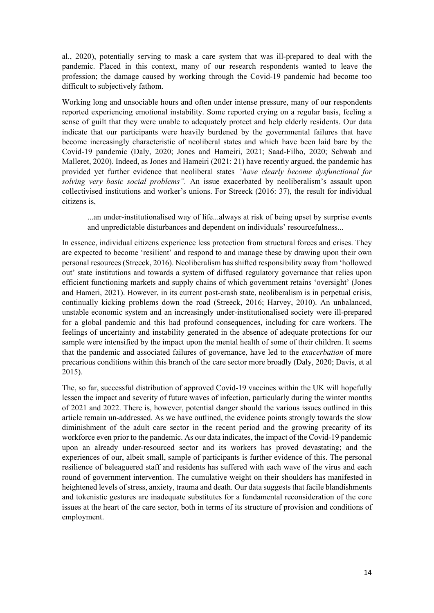al., 2020), potentially serving to mask a care system that was ill-prepared to deal with the pandemic. Placed in this context, many of our research respondents wanted to leave the profession; the damage caused by working through the Covid-19 pandemic had become too difficult to subjectively fathom.

Working long and unsociable hours and often under intense pressure, many of our respondents reported experiencing emotional instability. Some reported crying on a regular basis, feeling a sense of guilt that they were unable to adequately protect and help elderly residents. Our data indicate that our participants were heavily burdened by the governmental failures that have become increasingly characteristic of neoliberal states and which have been laid bare by the Covid-19 pandemic (Daly, 2020; Jones and Hameiri, 2021; Saad-Filho, 2020; Schwab and Malleret, 2020). Indeed, as Jones and Hameiri (2021: 21) have recently argued, the pandemic has provided yet further evidence that neoliberal states *"have clearly become dysfunctional for solving very basic social problems".* An issue exacerbated by neoliberalism's assault upon collectivised institutions and worker's unions. For Streeck (2016: 37), the result for individual citizens is,

...an under-institutionalised way of life...always at risk of being upset by surprise events and unpredictable disturbances and dependent on individuals' resourcefulness...

In essence, individual citizens experience less protection from structural forces and crises. They are expected to become 'resilient' and respond to and manage these by drawing upon their own personal resources (Streeck, 2016). Neoliberalism has shifted responsibility away from 'hollowed out' state institutions and towards a system of diffused regulatory governance that relies upon efficient functioning markets and supply chains of which government retains 'oversight' (Jones and Hameri, 2021). However, in its current post-crash state, neoliberalism is in perpetual crisis, continually kicking problems down the road (Streeck, 2016; Harvey, 2010). An unbalanced, unstable economic system and an increasingly under-institutionalised society were ill-prepared for a global pandemic and this had profound consequences, including for care workers. The feelings of uncertainty and instability generated in the absence of adequate protections for our sample were intensified by the impact upon the mental health of some of their children. It seems that the pandemic and associated failures of governance, have led to the *exacerbation* of more precarious conditions within this branch of the care sector more broadly (Daly, 2020; Davis, et al 2015).

The, so far, successful distribution of approved Covid-19 vaccines within the UK will hopefully lessen the impact and severity of future waves of infection, particularly during the winter months of 2021 and 2022. There is, however, potential danger should the various issues outlined in this article remain un-addressed. As we have outlined, the evidence points strongly towards the slow diminishment of the adult care sector in the recent period and the growing precarity of its workforce even prior to the pandemic. As our data indicates, the impact of the Covid-19 pandemic upon an already under-resourced sector and its workers has proved devastating; and the experiences of our, albeit small, sample of participants is further evidence of this. The personal resilience of beleaguered staff and residents has suffered with each wave of the virus and each round of government intervention. The cumulative weight on their shoulders has manifested in heightened levels of stress, anxiety, trauma and death. Our data suggests that facile blandishments and tokenistic gestures are inadequate substitutes for a fundamental reconsideration of the core issues at the heart of the care sector, both in terms of its structure of provision and conditions of employment.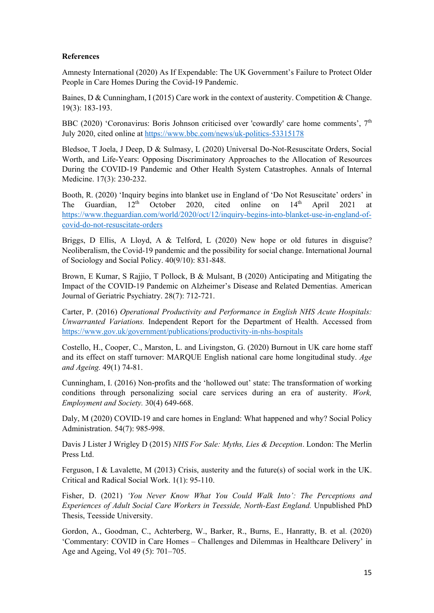## **References**

Amnesty International (2020) As If Expendable: The UK Government's Failure to Protect Older People in Care Homes During the Covid-19 Pandemic.

Baines, D & Cunningham, I (2015) Care work in the context of austerity. Competition & Change. 19(3): 183-193.

BBC (2020) 'Coronavirus: Boris Johnson criticised over 'cowardly' care home comments',  $7<sup>th</sup>$ July 2020, cited online at <https://www.bbc.com/news/uk-politics-53315178>

Bledsoe, T Joela, J Deep, D & Sulmasy, L (2020) Universal Do-Not-Resuscitate Orders, Social Worth, and Life-Years: Opposing Discriminatory Approaches to the Allocation of Resources During the COVID-19 Pandemic and Other Health System Catastrophes. Annals of Internal Medicine. 17(3): 230-232.

Booth, R. (2020) 'Inquiry begins into blanket use in England of 'Do Not Resuscitate' orders' in The Guardian,  $12^{th}$  October 2020, cited online on  $14^{th}$  April 2021 at [https://www.theguardian.com/world/2020/oct/12/inquiry-begins-into-blanket-use-in-england-of](https://www.theguardian.com/world/2020/oct/12/inquiry-begins-into-blanket-use-in-england-of-covid-do-not-resuscitate-orders)[covid-do-not-resuscitate-orders](https://www.theguardian.com/world/2020/oct/12/inquiry-begins-into-blanket-use-in-england-of-covid-do-not-resuscitate-orders)

Briggs, D Ellis, A Lloyd, A & Telford, L (2020) New hope or old futures in disguise? Neoliberalism, the Covid-19 pandemic and the possibility for social change. International Journal of Sociology and Social Policy. 40(9/10): 831-848.

Brown, E Kumar, S Rajjio, T Pollock, B & Mulsant, B (2020) Anticipating and Mitigating the Impact of the COVID-19 Pandemic on Alzheimer's Disease and Related Dementias. American Journal of Geriatric Psychiatry. 28(7): 712-721.

Carter, P. (2016) *Operational Productivity and Performance in English NHS Acute Hospitals: Unwarranted Variations.* Independent Report for the Department of Health. Accessed from <https://www.gov.uk/government/publications/productivity-in-nhs-hospitals>

Costello, H., Cooper, C., Marston, L. and Livingston, G. (2020) Burnout in UK care home staff and its effect on staff turnover: MARQUE English national care home longitudinal study. *Age and Ageing.* 49(1) 74-81.

Cunningham, I. (2016) Non-profits and the 'hollowed out' state: The transformation of working conditions through personalizing social care services during an era of austerity. *Work, Employment and Society.* 30(4) 649-668.

Daly, M (2020) COVID-19 and care homes in England: What happened and why? Social Policy Administration. 54(7): 985-998.

Davis J Lister J Wrigley D (2015) *NHS For Sale: Myths, Lies & Deception*. London: The Merlin Press Ltd.

Ferguson, I & Lavalette, M (2013) Crisis, austerity and the future(s) of social work in the UK. Critical and Radical Social Work. 1(1): 95-110.

Fisher, D. (2021) *'You Never Know What You Could Walk Into': The Perceptions and Experiences of Adult Social Care Workers in Teesside, North-East England.* Unpublished PhD Thesis, Teesside University.

Gordon, A., Goodman, C., Achterberg, W., Barker, R., Burns, E., Hanratty, B. et al. (2020) 'Commentary: COVID in Care Homes – Challenges and Dilemmas in Healthcare Delivery' in Age and Ageing, Vol 49 (5): 701–705.